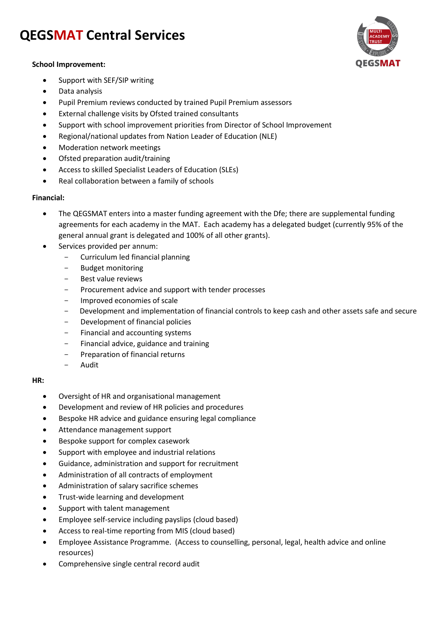# **QEGSMAT Central Services**



### **School Improvement:**

- Support with SEF/SIP writing
- Data analysis
- Pupil Premium reviews conducted by trained Pupil Premium assessors
- External challenge visits by Ofsted trained consultants
- Support with school improvement priorities from Director of School Improvement
- Regional/national updates from Nation Leader of Education (NLE)
- Moderation network meetings
- Ofsted preparation audit/training
- Access to skilled Specialist Leaders of Education (SLEs)
- Real collaboration between a family of schools

### **Financial:**

- The QEGSMAT enters into a master funding agreement with the Dfe; there are supplemental funding agreements for each academy in the MAT. Each academy has a delegated budget (currently 95% of the general annual grant is delegated and 100% of all other grants).
- Services provided per annum:
	- Curriculum led financial planning
		- Budget monitoring
		- Best value reviews
		- Procurement advice and support with tender processes
		- Improved economies of scale
		- Development and implementation of financial controls to keep cash and other assets safe and secure
		- Development of financial policies
		- Financial and accounting systems
		- Financial advice, guidance and training
		- Preparation of financial returns
		- Audit

#### **HR:**

- Oversight of HR and organisational management
- Development and review of HR policies and procedures
- Bespoke HR advice and guidance ensuring legal compliance
- Attendance management support
- **•** Bespoke support for complex casework
- Support with employee and industrial relations
- Guidance, administration and support for recruitment
- Administration of all contracts of employment
- Administration of salary sacrifice schemes
- Trust-wide learning and development
- Support with talent management
- Employee self-service including payslips (cloud based)
- Access to real-time reporting from MIS (cloud based)
- Employee Assistance Programme. (Access to counselling, personal, legal, health advice and online resources)
- Comprehensive single central record audit